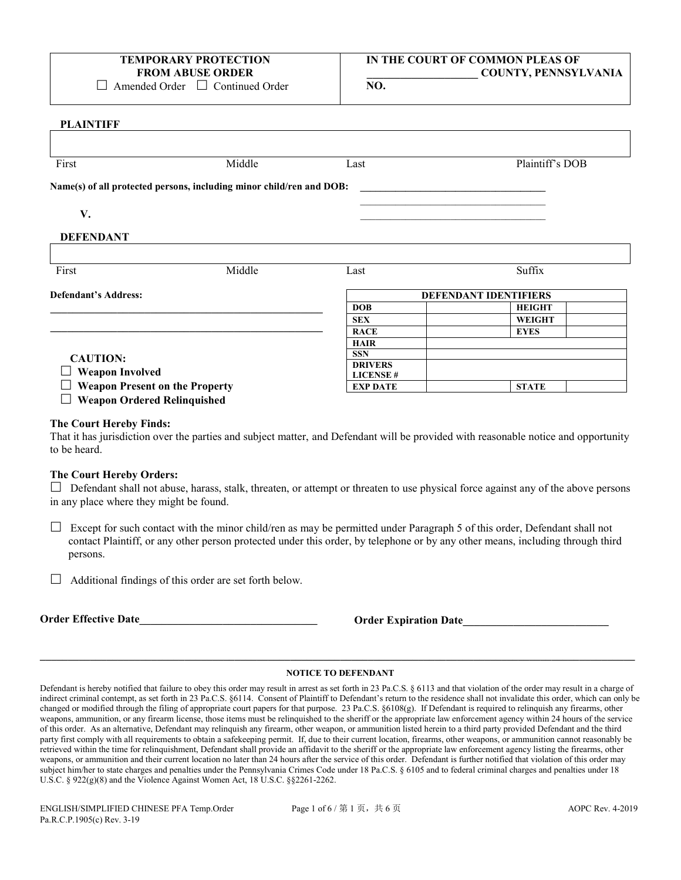## **TEMPORARY PROTECTION FROM ABUSE ORDER**

□ Amended Order □ Continued Order

## **IN THE COURT OF COMMON PLEAS OF \_\_\_\_\_\_\_\_\_\_\_\_\_\_\_\_\_\_\_\_ COUNTY, PENNSYLVANIA**

**NO.**

#### **PLAINTIFF**

| First                                                           | Middle                                                               | Last                               | Plaintiff's DOB              |
|-----------------------------------------------------------------|----------------------------------------------------------------------|------------------------------------|------------------------------|
|                                                                 | Name(s) of all protected persons, including minor child/ren and DOB: |                                    |                              |
| V.                                                              |                                                                      |                                    |                              |
| <b>DEFENDANT</b>                                                |                                                                      |                                    |                              |
| First                                                           | Middle                                                               | Last                               | Suffix                       |
|                                                                 |                                                                      |                                    |                              |
| <b>Defendant's Address:</b>                                     |                                                                      |                                    | <b>DEFENDANT IDENTIFIERS</b> |
|                                                                 |                                                                      | <b>DOB</b>                         | <b>HEIGHT</b>                |
|                                                                 |                                                                      | <b>SEX</b>                         | <b>WEIGHT</b>                |
|                                                                 |                                                                      | <b>RACE</b>                        | <b>EYES</b>                  |
|                                                                 |                                                                      | <b>HAIR</b>                        |                              |
|                                                                 |                                                                      | <b>SSN</b>                         |                              |
| <b>CAUTION:</b>                                                 |                                                                      | <b>DRIVERS</b>                     |                              |
| <b>Weapon Involved</b><br><b>Weapon Present on the Property</b> |                                                                      | <b>LICENSE#</b><br><b>EXP DATE</b> | <b>STATE</b>                 |

#### **The Court Hereby Finds:**

That it has jurisdiction over the parties and subject matter, and Defendant will be provided with reasonable notice and opportunity to be heard.

#### **The Court Hereby Orders:**

 $\Box$  Defendant shall not abuse, harass, stalk, threaten, or attempt or threaten to use physical force against any of the above persons in any place where they might be found.

 $\Box$  Except for such contact with the minor child/ren as may be permitted under Paragraph 5 of this order, Defendant shall not contact Plaintiff, or any other person protected under this order, by telephone or by any other means, including through third persons.

 $\Box$  Additional findings of this order are set forth below.

**Order Effective Date\_\_\_\_\_\_\_\_\_\_\_\_\_\_\_\_\_\_\_\_\_\_\_\_\_\_\_\_\_\_\_\_ Order Expiration Date\_\_\_\_\_\_\_\_\_\_\_\_\_\_\_\_\_\_\_\_\_\_\_\_\_\_** 

## **\_\_\_\_\_\_\_\_\_\_\_\_\_\_\_\_\_\_\_\_\_\_\_\_\_\_\_\_\_\_\_\_\_\_\_\_\_\_\_\_\_\_\_\_\_\_\_\_\_\_\_\_\_\_\_\_\_\_\_\_\_\_\_\_\_\_\_\_\_\_\_\_\_\_\_\_\_\_\_\_\_\_\_\_\_\_\_\_\_\_\_\_\_\_\_\_\_\_\_\_\_\_\_\_\_\_\_ NOTICE TO DEFENDANT**

Defendant is hereby notified that failure to obey this order may result in arrest as set forth in 23 Pa.C.S. § 6113 and that violation of the order may result in a charge of indirect criminal contempt, as set forth in 23 Pa.C.S. §6114. Consent of Plaintiff to Defendant's return to the residence shall not invalidate this order, which can only be changed or modified through the filing of appropriate court papers for that purpose. 23 Pa.C.S. §6108(g). If Defendant is required to relinquish any firearms, other weapons, ammunition, or any firearm license, those items must be relinquished to the sheriff or the appropriate law enforcement agency within 24 hours of the service of this order. As an alternative, Defendant may relinquish any firearm, other weapon, or ammunition listed herein to a third party provided Defendant and the third party first comply with all requirements to obtain a safekeeping permit. If, due to their current location, firearms, other weapons, or ammunition cannot reasonably be retrieved within the time for relinquishment, Defendant shall provide an affidavit to the sheriff or the appropriate law enforcement agency listing the firearms, other weapons, or ammunition and their current location no later than 24 hours after the service of this order. Defendant is further notified that violation of this order may subject him/her to state charges and penalties under the Pennsylvania Crimes Code under 18 Pa.C.S. § 6105 and to federal criminal charges and penalties under 18 U.S.C. § 922(g)(8) and the Violence Against Women Act, 18 U.S.C. §§2261-2262.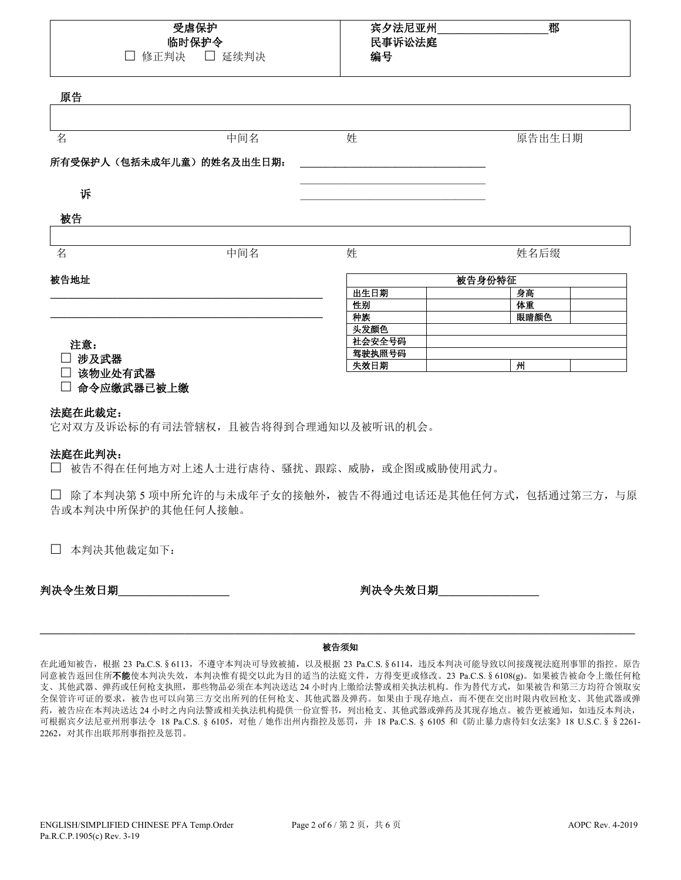| 受虐保护  |  |
|-------|--|
| 临时保护令 |  |
| _     |  |

□ 修正判决 □ 延续判决

## 宾夕法尼亚州**\_\_\_\_\_\_\_\_\_\_\_\_\_\_\_\_\_\_\_\_**郡 民事诉讼法庭 编号

原告

| ᄶᄓ                                                                               |                          |        |        |  |  |  |  |
|----------------------------------------------------------------------------------|--------------------------|--------|--------|--|--|--|--|
|                                                                                  |                          |        |        |  |  |  |  |
| 名                                                                                | 中间名                      | 姓      | 原告出生日期 |  |  |  |  |
|                                                                                  | 所有受保护人(包括未成年儿童)的姓名及出生日期: |        |        |  |  |  |  |
| 诉                                                                                |                          |        |        |  |  |  |  |
| 被告                                                                               |                          |        |        |  |  |  |  |
|                                                                                  |                          |        |        |  |  |  |  |
| 名                                                                                | 中间名                      | 姓      | 姓名后缀   |  |  |  |  |
| 被告地址                                                                             |                          | 被告身份特征 |        |  |  |  |  |
|                                                                                  |                          | 出生日期   | 身高     |  |  |  |  |
|                                                                                  |                          | 性别     | 体重     |  |  |  |  |
|                                                                                  |                          | 种族     | 眼睛颜色   |  |  |  |  |
|                                                                                  |                          | 头发颜色   |        |  |  |  |  |
| 注意:                                                                              |                          | 社会安全号码 |        |  |  |  |  |
| 涉及武器                                                                             |                          | 驾驶执照号码 |        |  |  |  |  |
| $\overline{a}$ , and the set of $\overline{a}$ , $\overline{a}$ , $\overline{a}$ |                          | 失效日期   | 州      |  |  |  |  |

□ 该物业处有武器

命令应缴武器已被上缴

### 法庭在此裁定:

它对双方及诉讼标的有司法管辖权,且被告将得到合理通知以及被听讯的机会。

## 法庭在此判决:

被告不得在任何地方对上述人士进行虐待、骚扰、跟踪、威胁,或企图或威胁使用武力。

 除了本判决第 5 项中所允许的与未成年子女的接触外,被告不得通过电话还是其他任何方式,包括通过第三方,与原 告或本判决中所保护的其他任何人接触。

本判决其他裁定如下:

判决令生效日期**\_\_\_\_\_\_\_\_\_\_\_\_\_\_\_\_\_\_\_\_** 判决令失效日期**\_\_\_\_\_\_\_\_\_\_\_\_\_\_\_\_\_\_** 

## **\_\_\_\_\_\_\_\_\_\_\_\_\_\_\_\_\_\_\_\_\_\_\_\_\_\_\_\_\_\_\_\_\_\_\_\_\_\_\_\_\_\_\_\_\_\_\_\_\_\_\_\_\_\_\_\_\_\_\_\_\_\_\_\_\_\_\_\_\_\_\_\_\_\_\_\_\_\_\_\_\_\_\_\_\_\_\_\_\_\_\_\_\_\_\_\_\_\_\_\_\_\_\_\_\_\_\_** 被告须知

在此通知被告,根据 23 Pa.C.S.§6113, 不遵守本判决可导致被捕, 以及根据 23 Pa.C.S.§6114, 违反本判决可能导致以间接蔑视法庭刑事罪的指控。原告 同意被告返回住所不能使本判决失效,本判决惟有提交以此为目的适当的法庭文件,方得变更或修改。23 Pa.C.S.§6108(g)。如果被告被命令上缴任何枪 支、其他武器、弹药或任何枪支执照,那些物品必须在本判决送达 24 小时内上缴给法警或相关执法机构。作为替代方式,如果被告和第三方均符合领取安 全保管许可证的要求,被告也可以向第三方交出所列的任何枪支、其他武器及弹药。如果由于现存地点,而不便在交出时限内收回枪支、其他武器或弹 药,被告应在本判决送达24 小时之内向法警或相关执法机构提供一份宣誓书,列出枪支、其他武器或弹药及其现存地点。被告更被通知,如违反本判决, 可根据宾夕法尼亚州刑事法令 18 Pa.C.S. § 6105, 对他 / 她作出州内指控及惩罚, 并 18 Pa.C.S. § 6105 和《防止暴力虐待妇女法案》18 U.S.C. § § 2261-2262,对其作出联邦刑事指控及惩罚。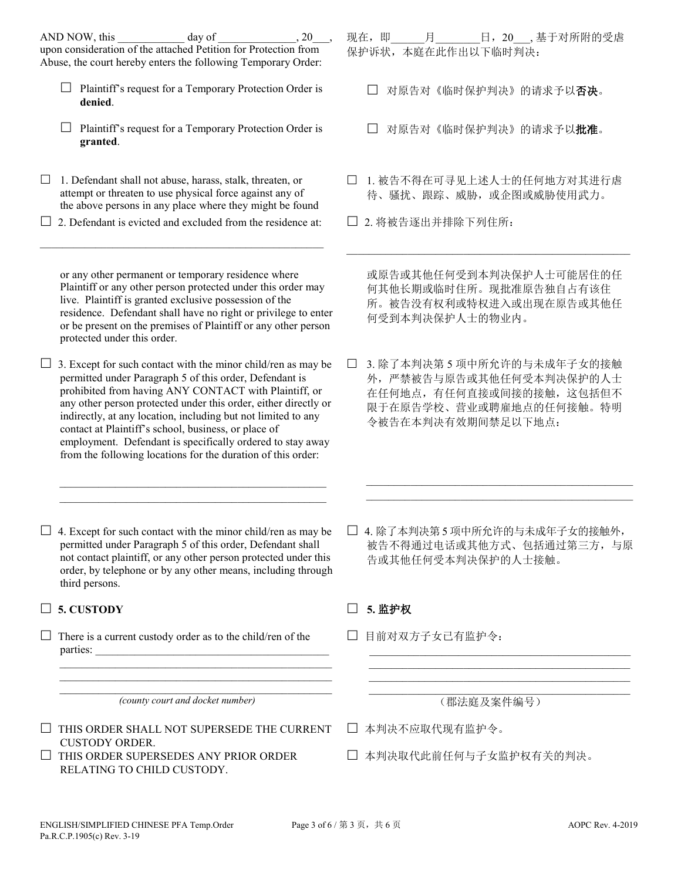|        | AND NOW, this<br>day of<br>, 20<br>upon consideration of the attached Petition for Protection from<br>Abuse, the court hereby enters the following Temporary Order:                                                                                                                                                                                                                                                                                                                                         |        | 现在,即   | 月<br>保护诉状,本庭在此作出以下临时判决: |            |  | 日, 20_, 基于对所附的受虐                                                                                           |  |
|--------|-------------------------------------------------------------------------------------------------------------------------------------------------------------------------------------------------------------------------------------------------------------------------------------------------------------------------------------------------------------------------------------------------------------------------------------------------------------------------------------------------------------|--------|--------|-------------------------|------------|--|------------------------------------------------------------------------------------------------------------|--|
|        | Plaintiff's request for a Temporary Protection Order is<br>denied.                                                                                                                                                                                                                                                                                                                                                                                                                                          |        |        |                         |            |  | 对原告对《临时保护判决》的请求予以否决。                                                                                       |  |
|        | Plaintiff's request for a Temporary Protection Order is<br>granted.                                                                                                                                                                                                                                                                                                                                                                                                                                         |        |        |                         |            |  | 对原告对《临时保护判决》的请求予以批准。                                                                                       |  |
| $\Box$ | 1. Defendant shall not abuse, harass, stalk, threaten, or<br>attempt or threaten to use physical force against any of<br>the above persons in any place where they might be found                                                                                                                                                                                                                                                                                                                           |        |        |                         |            |  | 1. 被告不得在可寻见上述人士的任何地方对其进行虐<br>待、骚扰、跟踪、威胁, 或企图或威胁使用武力。                                                       |  |
|        | 2. Defendant is evicted and excluded from the residence at:                                                                                                                                                                                                                                                                                                                                                                                                                                                 |        |        | 2. 将被告逐出并排除下列住所:        |            |  |                                                                                                            |  |
|        | or any other permanent or temporary residence where<br>Plaintiff or any other person protected under this order may<br>live. Plaintiff is granted exclusive possession of the<br>residence. Defendant shall have no right or privilege to enter<br>or be present on the premises of Plaintiff or any other person<br>protected under this order.                                                                                                                                                            |        |        | 何受到本判决保护人士的物业内。         |            |  | 或原告或其他任何受到本判决保护人士可能居住的任<br>何其他长期或临时住所。现批准原告独自占有该住<br>所。被告没有权利或特权进入或出现在原告或其他任                               |  |
| Ц      | 3. Except for such contact with the minor child/ren as may be<br>permitted under Paragraph 5 of this order, Defendant is<br>prohibited from having ANY CONTACT with Plaintiff, or<br>any other person protected under this order, either directly or<br>indirectly, at any location, including but not limited to any<br>contact at Plaintiff's school, business, or place of<br>employment. Defendant is specifically ordered to stay away<br>from the following locations for the duration of this order: |        |        | 令被告在本判决有效期间禁足以下地点:      |            |  | 3. 除了本判决第5项中所允许的与未成年子女的接触<br>外,严禁被告与原告或其他任何受本判决保护的人士<br>在任何地点,有任何直接或间接的接触,这包括但不<br>限于在原告学校、营业或聘雇地点的任何接触。特明 |  |
|        |                                                                                                                                                                                                                                                                                                                                                                                                                                                                                                             |        |        |                         |            |  |                                                                                                            |  |
|        | 4. Except for such contact with the minor child/ren as may be<br>permitted under Paragraph 5 of this order, Defendant shall<br>not contact plaintiff, or any other person protected under this<br>order, by telephone or by any other means, including through<br>third persons.                                                                                                                                                                                                                            |        |        | 告或其他任何受本判决保护的人士接触。      |            |  | 4. 除了本判决第5项中所允许的与未成年子女的接触外,<br>被告不得通过电话或其他方式、包括通过第三方, 与原                                                   |  |
|        | 5. CUSTODY                                                                                                                                                                                                                                                                                                                                                                                                                                                                                                  |        | 5. 监护权 |                         |            |  |                                                                                                            |  |
|        | There is a current custody order as to the child/ren of the<br>the control of the control of the control of the control of the control of the control of                                                                                                                                                                                                                                                                                                                                                    |        |        | 目前对双方子女已有监护令:           |            |  |                                                                                                            |  |
|        |                                                                                                                                                                                                                                                                                                                                                                                                                                                                                                             |        |        |                         |            |  |                                                                                                            |  |
|        | (county court and docket number)                                                                                                                                                                                                                                                                                                                                                                                                                                                                            |        |        |                         | (郡法庭及案件编号) |  |                                                                                                            |  |
|        | THIS ORDER SHALL NOT SUPERSEDE THE CURRENT<br><b>CUSTODY ORDER.</b>                                                                                                                                                                                                                                                                                                                                                                                                                                         | $\Box$ |        | 本判决不应取代现有监护令。           |            |  |                                                                                                            |  |

- $\Box$  THIS ORDER SUPERSEDES ANY PRIOR ORDER RELATING TO CHILD CUSTODY.
- 本判决取代此前任何与子女监护权有关的判决。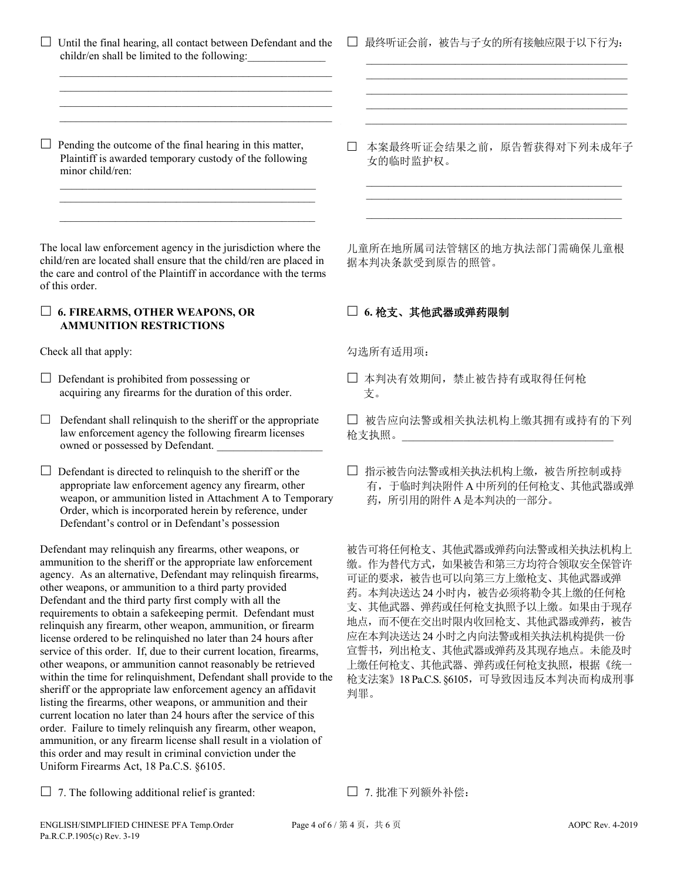$\Box$  Until the final hearing, all contact between Defendant and the childr/en shall be limited to the following:

 $\mathcal{L}_\text{max}$  , and the set of the set of the set of the set of the set of the set of the set of the set of the set of the set of the set of the set of the set of the set of the set of the set of the set of the set of the

 $\mathcal{L}_\text{max}$  , and the set of the set of the set of the set of the set of the set of the set of the set of the set of the set of the set of the set of the set of the set of the set of the set of the set of the set of the

 $\Box$  Pending the outcome of the final hearing in this matter, Plaintiff is awarded temporary custody of the following minor child/ren:

 $\mathcal{L}_\mathcal{L}$  , and the set of the set of the set of the set of the set of the set of the set of the set of the set of the set of the set of the set of the set of the set of the set of the set of the set of the set of th

The local law enforcement agency in the jurisdiction where the child/ren are located shall ensure that the child/ren are placed in the care and control of the Plaintiff in accordance with the terms of this order.

 $\mathcal{L}_\text{max} = \frac{1}{2} \sum_{i=1}^{n} \frac{1}{2} \sum_{i=1}^{n} \frac{1}{2} \sum_{i=1}^{n} \frac{1}{2} \sum_{i=1}^{n} \frac{1}{2} \sum_{i=1}^{n} \frac{1}{2} \sum_{i=1}^{n} \frac{1}{2} \sum_{i=1}^{n} \frac{1}{2} \sum_{i=1}^{n} \frac{1}{2} \sum_{i=1}^{n} \frac{1}{2} \sum_{i=1}^{n} \frac{1}{2} \sum_{i=1}^{n} \frac{1}{2} \sum_{i=1}^{n} \frac{1$ 

### **6. FIREARMS, OTHER WEAPONS, OR AMMUNITION RESTRICTIONS**

Check all that apply: 勾选所有适用项:

 $\Box$  Defendant is prohibited from possessing or acquiring any firearms for the duration of this order.

 $\Box$  Defendant shall relinquish to the sheriff or the appropriate law enforcement agency the following firearm licenses owned or possessed by Defendant.

 $\Box$  Defendant is directed to relinquish to the sheriff or the appropriate law enforcement agency any firearm, other weapon, or ammunition listed in Attachment A to Temporary Order, which is incorporated herein by reference, under Defendant's control or in Defendant's possession

Defendant may relinquish any firearms, other weapons, or ammunition to the sheriff or the appropriate law enforcement agency. As an alternative, Defendant may relinquish firearms, other weapons, or ammunition to a third party provided Defendant and the third party first comply with all the requirements to obtain a safekeeping permit. Defendant must relinquish any firearm, other weapon, ammunition, or firearm license ordered to be relinquished no later than 24 hours after service of this order. If, due to their current location, firearms, other weapons, or ammunition cannot reasonably be retrieved within the time for relinquishment, Defendant shall provide to the sheriff or the appropriate law enforcement agency an affidavit listing the firearms, other weapons, or ammunition and their current location no later than 24 hours after the service of this order. Failure to timely relinquish any firearm, other weapon, ammunition, or any firearm license shall result in a violation of this order and may result in criminal conviction under the Uniform Firearms Act, 18 Pa.C.S. §6105.

□ 最终听证会前,被告与子女的所有接触应限于以下行为:  $\mathcal{L}_\text{max}$  , and the set of the set of the set of the set of the set of the set of the set of the set of the set of the set of the set of the set of the set of the set of the set of the set of the set of the set of the

 $\mathcal{L}_\text{max} = \frac{1}{2} \sum_{i=1}^{n} \frac{1}{2} \sum_{i=1}^{n} \frac{1}{2} \sum_{i=1}^{n} \frac{1}{2} \sum_{i=1}^{n} \frac{1}{2} \sum_{i=1}^{n} \frac{1}{2} \sum_{i=1}^{n} \frac{1}{2} \sum_{i=1}^{n} \frac{1}{2} \sum_{i=1}^{n} \frac{1}{2} \sum_{i=1}^{n} \frac{1}{2} \sum_{i=1}^{n} \frac{1}{2} \sum_{i=1}^{n} \frac{1}{2} \sum_{i=1}^{n} \frac{1$  $\mathcal{L}_\text{max}$  , and the set of the set of the set of the set of the set of the set of the set of the set of the set of the set of the set of the set of the set of the set of the set of the set of the set of the set of the

 $\mathcal{L} = \{ \mathcal{L} \mid \mathcal{L} \in \mathcal{L} \}$  , where  $\mathcal{L} = \{ \mathcal{L} \mid \mathcal{L} \in \mathcal{L} \}$  , where  $\mathcal{L} = \{ \mathcal{L} \mid \mathcal{L} \in \mathcal{L} \}$ 

 本案最终听证会结果之前,原告暂获得对下列未成年子 女的临时监护权。

 \_\_\_\_\_\_\_\_\_\_\_\_\_\_\_\_\_\_\_\_\_\_\_\_\_\_\_\_\_\_\_\_\_\_\_\_\_\_\_\_\_\_\_\_\_\_ \_\_\_\_\_\_\_\_\_\_\_\_\_\_\_\_\_\_\_\_\_\_\_\_\_\_\_\_\_\_\_\_\_\_\_\_\_\_\_\_\_\_\_\_\_\_ \_\_\_\_\_\_\_\_\_\_\_\_\_\_\_\_\_\_\_\_\_\_\_\_\_\_\_\_\_\_\_\_\_\_\_\_\_\_\_\_\_\_\_\_\_\_

儿童所在地所属司法管辖区的地方执法部门需确保儿童根 据本判决条款受到原告的照管。

## **6.** 枪支、其他武器或弹药限制

 本判决有效期间,禁止被告持有或取得任何枪 支。

 被告应向法警或相关执法机构上缴其拥有或持有的下列 枪支执照。\_\_\_\_\_\_\_\_\_\_\_\_\_\_\_\_\_\_\_\_\_\_\_\_\_\_\_\_\_\_\_\_\_\_\_\_\_\_

□ 指示被告向法警或相关执法机构上缴, 被告所控制或持 有,于临时判决附件 A中所列的任何枪支、其他武器或弹 药,所引用的附件 A是本判决的一部分。

被告可将任何枪支、其他武器或弹药向法警或相关执法机构上 缴。作为替代方式,如果被告和第三方均符合领取安全保管许 可证的要求,被告也可以向第三方上缴枪支、其他武器或弹 药。本判决送达24小时内,被告必须将勒令其上缴的任何枪 支、其他武器、弹药或任何枪支执照予以上缴。如果由于现存 地点,而不便在交出时限内收回枪支、其他武器或弹药,被告 应在本判决送达24小时之内向法警或相关执法机构提供一份 宣誓书,列出枪支、其他武器或弹药及其现存地点。未能及时 上缴任何枪支、其他武器、弹药或任何枪支执照,根据《统一 枪支法案》18 Pa.C.S. §6105,可导致因违反本判决而构成刑事 判罪。

□ 7. The following additional relief is granted: □ 7. 批准下列额外补偿: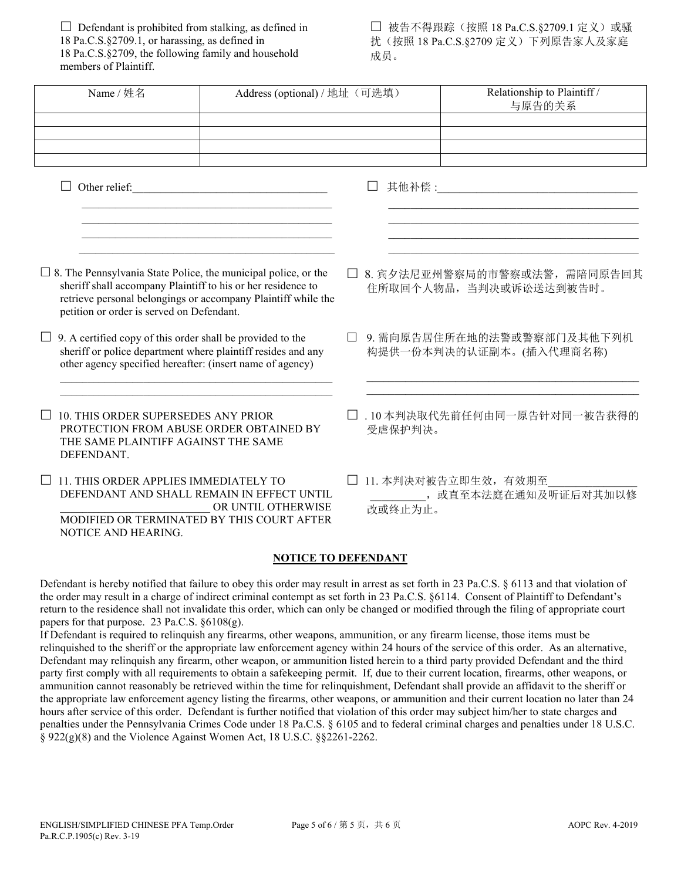$\Box$  Defendant is prohibited from stalking, as defined in 18 Pa.C.S.§2709.1, or harassing, as defined in 18 Pa.C.S.§2709, the following family and household members of Plaintiff.

□ 被告不得跟踪(按照 18 Pa.C.S.§2709.1 定义)或骚 扰(按照 18 Pa.C.S.§2709 定义)下列原告家人及家庭 成员。

| Name / 姓名                                                                                                                                                                                                                                                                                              | Address (optional) / 地址 (可选填)                                                                                        |        |                                                                 | Relationship to Plaintiff /<br>与原告的关系                                                                                                                                                                                                                                                                                                                                                                                                                                                                                                                                                                                                                                                                                                                                                                                                                                                                                                                                                                                                                                                                                                                                                                                                                                            |  |  |  |
|--------------------------------------------------------------------------------------------------------------------------------------------------------------------------------------------------------------------------------------------------------------------------------------------------------|----------------------------------------------------------------------------------------------------------------------|--------|-----------------------------------------------------------------|----------------------------------------------------------------------------------------------------------------------------------------------------------------------------------------------------------------------------------------------------------------------------------------------------------------------------------------------------------------------------------------------------------------------------------------------------------------------------------------------------------------------------------------------------------------------------------------------------------------------------------------------------------------------------------------------------------------------------------------------------------------------------------------------------------------------------------------------------------------------------------------------------------------------------------------------------------------------------------------------------------------------------------------------------------------------------------------------------------------------------------------------------------------------------------------------------------------------------------------------------------------------------------|--|--|--|
|                                                                                                                                                                                                                                                                                                        |                                                                                                                      |        |                                                                 |                                                                                                                                                                                                                                                                                                                                                                                                                                                                                                                                                                                                                                                                                                                                                                                                                                                                                                                                                                                                                                                                                                                                                                                                                                                                                  |  |  |  |
| Other relief:<br>$\Box$                                                                                                                                                                                                                                                                                | <u> 1989 - Johann John Stone, mars eta inperiodo eta inperiodo eta inperiodo eta inperiodo eta inperiodo eta inp</u> |        |                                                                 | <u> 1989 - Johann John Stone, mars eta bainar eta baina eta erromania eta baina eta baina eta baina eta baina eta</u>                                                                                                                                                                                                                                                                                                                                                                                                                                                                                                                                                                                                                                                                                                                                                                                                                                                                                                                                                                                                                                                                                                                                                            |  |  |  |
| <u> 1990 - Johann John Stone, mars et al. (</u><br>$\Box$ 8. The Pennsylvania State Police, the municipal police, or the<br>sheriff shall accompany Plaintiff to his or her residence to<br>retrieve personal belongings or accompany Plaintiff while the<br>petition or order is served on Defendant. |                                                                                                                      |        |                                                                 | the control of the control of the control of the control of the control of the control of<br>8. 宾夕法尼亚州警察局的市警察或法警, 需陪同原告回其<br>住所取回个人物品, 当判决或诉讼送达到被告时。                                                                                                                                                                                                                                                                                                                                                                                                                                                                                                                                                                                                                                                                                                                                                                                                                                                                                                                                                                                                                                                                                                                             |  |  |  |
| $\Box$ 9. A certified copy of this order shall be provided to the<br>sheriff or police department where plaintiff resides and any<br>other agency specified hereafter: (insert name of agency)                                                                                                         |                                                                                                                      | $\Box$ |                                                                 | 9. 需向原告居住所在地的法警或警察部门及其他下列机<br>构提供一份本判决的认证副本。(插入代理商名称)                                                                                                                                                                                                                                                                                                                                                                                                                                                                                                                                                                                                                                                                                                                                                                                                                                                                                                                                                                                                                                                                                                                                                                                                                            |  |  |  |
| 10. THIS ORDER SUPERSEDES ANY PRIOR<br>PROTECTION FROM ABUSE ORDER OBTAINED BY<br>THE SAME PLAINTIFF AGAINST THE SAME<br>DEFENDANT.                                                                                                                                                                    |                                                                                                                      |        | 受虐保护判决。                                                         | □ . 10 本判决取代先前任何由同一原告针对同一被告获得的                                                                                                                                                                                                                                                                                                                                                                                                                                                                                                                                                                                                                                                                                                                                                                                                                                                                                                                                                                                                                                                                                                                                                                                                                                                   |  |  |  |
| 11. THIS ORDER APPLIES IMMEDIATELY TO<br>DEFENDANT AND SHALL REMAIN IN EFFECT UNTIL<br>OR UNTIL OTHERWISE<br>MODIFIED OR TERMINATED BY THIS COURT AFTER<br>NOTICE AND HEARING.                                                                                                                         |                                                                                                                      |        | 11. 本判决对被告立即生效, 有效期至<br>________, 或直至本法庭在通知及听证后对其加以修<br>改或终止为止。 |                                                                                                                                                                                                                                                                                                                                                                                                                                                                                                                                                                                                                                                                                                                                                                                                                                                                                                                                                                                                                                                                                                                                                                                                                                                                                  |  |  |  |
|                                                                                                                                                                                                                                                                                                        | <b>NOTICE TO DEFENDANT</b>                                                                                           |        |                                                                 |                                                                                                                                                                                                                                                                                                                                                                                                                                                                                                                                                                                                                                                                                                                                                                                                                                                                                                                                                                                                                                                                                                                                                                                                                                                                                  |  |  |  |
| papers for that purpose. 23 Pa.C.S. $§6108(g)$ .<br>If Defendant is required to relinquish any firearms, other weapons, ammunition, or any firearm license, those items must be                                                                                                                        |                                                                                                                      |        |                                                                 | Defendant is hereby notified that failure to obey this order may result in arrest as set forth in 23 Pa.C.S. § 6113 and that violation of<br>the order may result in a charge of indirect criminal contempt as set forth in 23 Pa.C.S. §6114. Consent of Plaintiff to Defendant's<br>return to the residence shall not invalidate this order, which can only be changed or modified through the filing of appropriate court<br>relinquished to the sheriff or the appropriate law enforcement agency within 24 hours of the service of this order. As an alternative,<br>Defendant may relinquish any firearm, other weapon, or ammunition listed herein to a third party provided Defendant and the third<br>party first comply with all requirements to obtain a safekeeping permit. If, due to their current location, firearms, other weapons, or<br>ammunition cannot reasonably be retrieved within the time for relinquishment, Defendant shall provide an affidavit to the sheriff or<br>the appropriate law enforcement agency listing the firearms, other weapons, or ammunition and their current location no later than 24<br>hours after service of this order. Defendant is further notified that violation of this order may subject him/her to state charges and |  |  |  |

penalties under the Pennsylvania Crimes Code under 18 Pa.C.S. § 6105 and to federal criminal charges and penalties under 18 U.S.C. § 922(g)(8) and the Violence Against Women Act, 18 U.S.C. §§2261-2262.